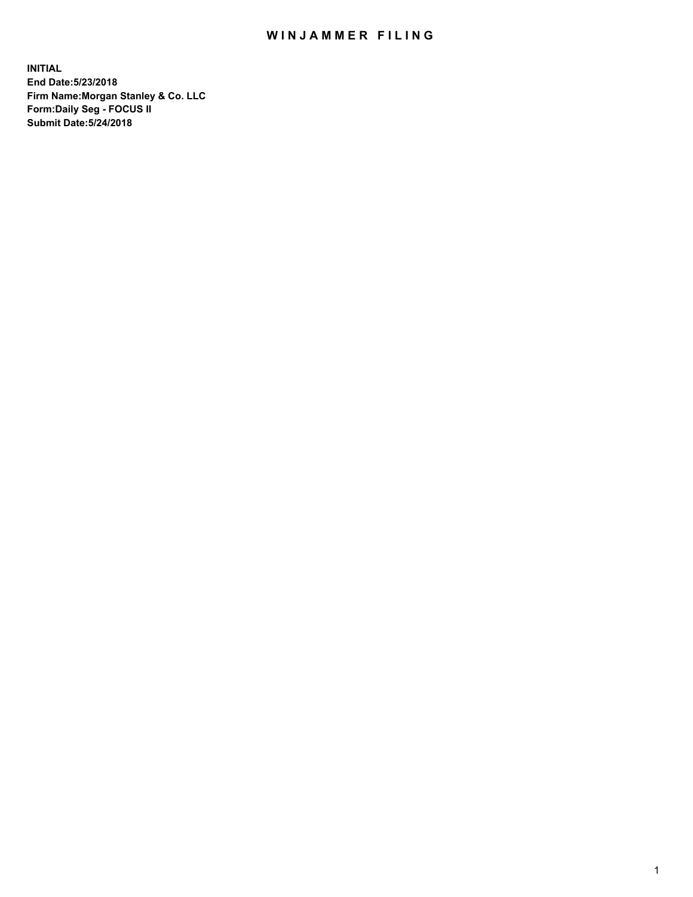## WIN JAMMER FILING

**INITIAL End Date:5/23/2018 Firm Name:Morgan Stanley & Co. LLC Form:Daily Seg - FOCUS II Submit Date:5/24/2018**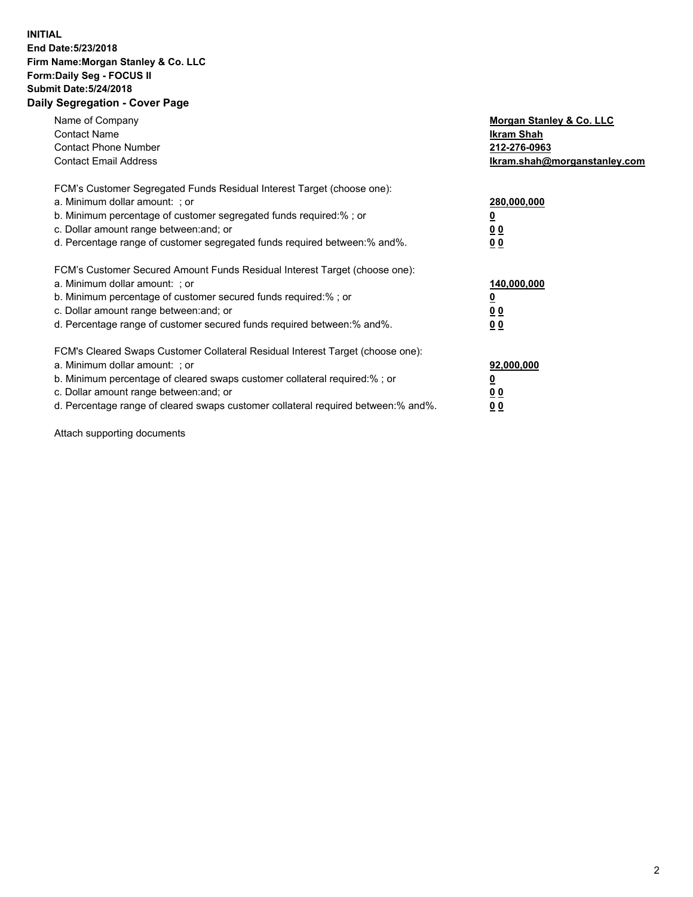## **INITIAL End Date:5/23/2018 Firm Name:Morgan Stanley & Co. LLC Form:Daily Seg - FOCUS II Submit Date:5/24/2018 Daily Segregation - Cover Page**

| Name of Company<br><b>Contact Name</b><br><b>Contact Phone Number</b><br><b>Contact Email Address</b>                                                                                                                                                                                                                         | Morgan Stanley & Co. LLC<br>Ikram Shah<br>212-276-0963<br>lkram.shah@morganstanley.com |
|-------------------------------------------------------------------------------------------------------------------------------------------------------------------------------------------------------------------------------------------------------------------------------------------------------------------------------|----------------------------------------------------------------------------------------|
| FCM's Customer Segregated Funds Residual Interest Target (choose one):<br>a. Minimum dollar amount: ; or<br>b. Minimum percentage of customer segregated funds required:%; or<br>c. Dollar amount range between: and; or<br>d. Percentage range of customer segregated funds required between:% and%.                         | 280,000,000<br>00<br>00                                                                |
| FCM's Customer Secured Amount Funds Residual Interest Target (choose one):<br>a. Minimum dollar amount: ; or<br>b. Minimum percentage of customer secured funds required:%; or<br>c. Dollar amount range between: and; or<br>d. Percentage range of customer secured funds required between:% and%.                           | 140,000,000<br>0 <sub>0</sub><br>0 <sub>0</sub>                                        |
| FCM's Cleared Swaps Customer Collateral Residual Interest Target (choose one):<br>a. Minimum dollar amount: ; or<br>b. Minimum percentage of cleared swaps customer collateral required:%; or<br>c. Dollar amount range between: and; or<br>d. Percentage range of cleared swaps customer collateral required between:% and%. | 92,000,000<br>0 <sub>0</sub><br><u>00</u>                                              |

Attach supporting documents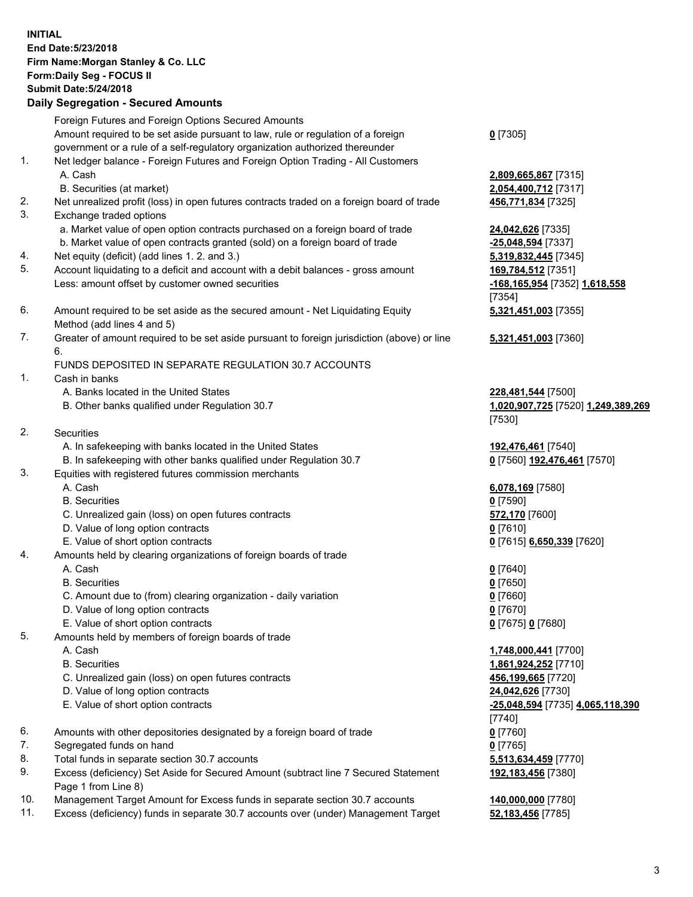## **INITIAL End Date:5/23/2018 Firm Name:Morgan Stanley & Co. LLC Form:Daily Seg - FOCUS II Submit Date:5/24/2018 Daily Segregation - Secured Amounts**

Foreign Futures and Foreign Options Secured Amounts Amount required to be set aside pursuant to law, rule or regulation of a foreign government or a rule of a self-regulatory organization authorized thereunder

- 1. Net ledger balance Foreign Futures and Foreign Option Trading All Customers A. Cash **2,809,665,867** [7315]
	- B. Securities (at market) **2,054,400,712** [7317]
- 2. Net unrealized profit (loss) in open futures contracts traded on a foreign board of trade **456,771,834** [7325]
- 3. Exchange traded options
	- a. Market value of open option contracts purchased on a foreign board of trade **24,042,626** [7335]
	- b. Market value of open contracts granted (sold) on a foreign board of trade **-25,048,594** [7337]
- 4. Net equity (deficit) (add lines 1. 2. and 3.) **5,319,832,445** [7345]
- 5. Account liquidating to a deficit and account with a debit balances gross amount **169,784,512** [7351] Less: amount offset by customer owned securities **-168,165,954** [7352] **1,618,558**
- 6. Amount required to be set aside as the secured amount Net Liquidating Equity Method (add lines 4 and 5)
- 7. Greater of amount required to be set aside pursuant to foreign jurisdiction (above) or line 6.

## FUNDS DEPOSITED IN SEPARATE REGULATION 30.7 ACCOUNTS

- 1. Cash in banks
	- A. Banks located in the United States **228,481,544** [7500]
	- B. Other banks qualified under Regulation 30.7 **1,020,907,725** [7520] **1,249,389,269**
- 2. Securities
	- A. In safekeeping with banks located in the United States **192,476,461** [7540]
	- B. In safekeeping with other banks qualified under Regulation 30.7 **0** [7560] **192,476,461** [7570]
- 3. Equities with registered futures commission merchants
	-
	-
	- C. Unrealized gain (loss) on open futures contracts **572,170** [7600]
	- D. Value of long option contracts **0** [7610]
- E. Value of short option contracts **0** [7615] **6,650,339** [7620]
- 4. Amounts held by clearing organizations of foreign boards of trade
	-
	-
	- C. Amount due to (from) clearing organization daily variation **0** [7660]
	- D. Value of long option contracts **0** [7670]
	- E. Value of short option contracts **0** [7675] **0** [7680]
- 5. Amounts held by members of foreign boards of trade
	-
	-
	- C. Unrealized gain (loss) on open futures contracts **456,199,665** [7720]
	- D. Value of long option contracts **24,042,626** [7730]
	- E. Value of short option contracts **-25,048,594** [7735] **4,065,118,390**
- 6. Amounts with other depositories designated by a foreign board of trade **0** [7760]
- 7. Segregated funds on hand **0** [7765]
- 8. Total funds in separate section 30.7 accounts **5,513,634,459** [7770]
- 9. Excess (deficiency) Set Aside for Secured Amount (subtract line 7 Secured Statement Page 1 from Line 8)
- 10. Management Target Amount for Excess funds in separate section 30.7 accounts **140,000,000** [7780]
- 11. Excess (deficiency) funds in separate 30.7 accounts over (under) Management Target **52,183,456** [7785]

**0** [7305]

[7354] **5,321,451,003** [7355]

**5,321,451,003** [7360]

[7530]

 A. Cash **6,078,169** [7580] B. Securities **0** [7590]

 A. Cash **0** [7640] B. Securities **0** [7650]

 A. Cash **1,748,000,441** [7700] B. Securities **1,861,924,252** [7710] [7740] **192,183,456** [7380]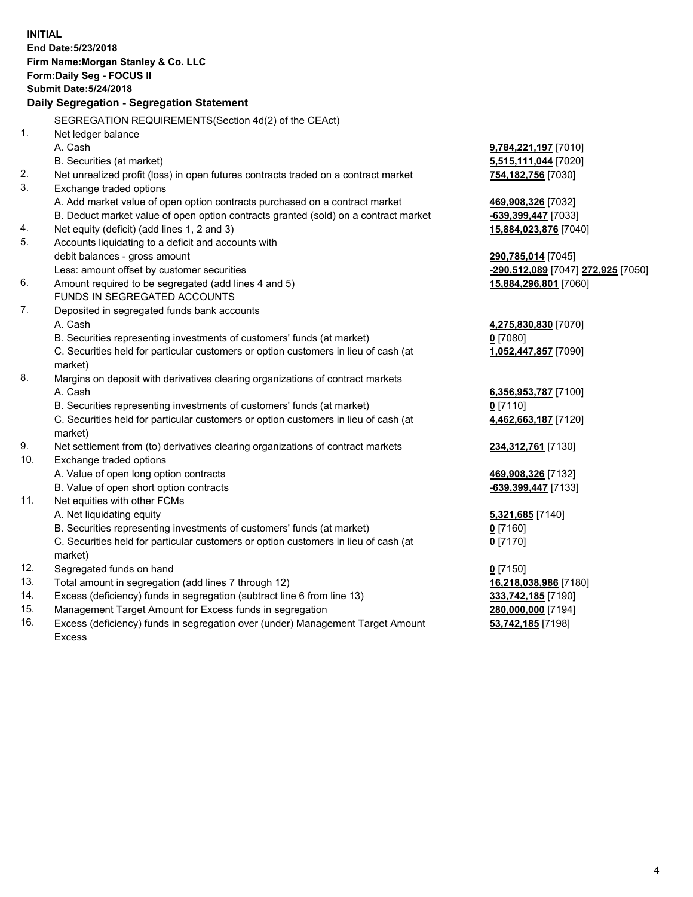**INITIAL End Date:5/23/2018 Firm Name:Morgan Stanley & Co. LLC Form:Daily Seg - FOCUS II Submit Date:5/24/2018 Daily Segregation - Segregation Statement** SEGREGATION REQUIREMENTS(Section 4d(2) of the CEAct) 1. Net ledger balance A. Cash **9,784,221,197** [7010] B. Securities (at market) **5,515,111,044** [7020] 2. Net unrealized profit (loss) in open futures contracts traded on a contract market **754,182,756** [7030] 3. Exchange traded options A. Add market value of open option contracts purchased on a contract market **469,908,326** [7032] B. Deduct market value of open option contracts granted (sold) on a contract market **-639,399,447** [7033] 4. Net equity (deficit) (add lines 1, 2 and 3) **15,884,023,876** [7040] 5. Accounts liquidating to a deficit and accounts with debit balances - gross amount **290,785,014** [7045] Less: amount offset by customer securities **-290,512,089** [7047] **272,925** [7050] 6. Amount required to be segregated (add lines 4 and 5) **15,884,296,801** [7060] FUNDS IN SEGREGATED ACCOUNTS 7. Deposited in segregated funds bank accounts A. Cash **4,275,830,830** [7070] B. Securities representing investments of customers' funds (at market) **0** [7080] C. Securities held for particular customers or option customers in lieu of cash (at market) **1,052,447,857** [7090] 8. Margins on deposit with derivatives clearing organizations of contract markets A. Cash **6,356,953,787** [7100] B. Securities representing investments of customers' funds (at market) **0** [7110] C. Securities held for particular customers or option customers in lieu of cash (at market) **4,462,663,187** [7120] 9. Net settlement from (to) derivatives clearing organizations of contract markets **234,312,761** [7130] 10. Exchange traded options A. Value of open long option contracts **469,908,326** [7132] B. Value of open short option contracts **-639,399,447** [7133] 11. Net equities with other FCMs A. Net liquidating equity **5,321,685** [7140] B. Securities representing investments of customers' funds (at market) **0** [7160] C. Securities held for particular customers or option customers in lieu of cash (at market) **0** [7170] 12. Segregated funds on hand **0** [7150] 13. Total amount in segregation (add lines 7 through 12) **16,218,038,986** [7180] 14. Excess (deficiency) funds in segregation (subtract line 6 from line 13) **333,742,185** [7190] 15. Management Target Amount for Excess funds in segregation **280,000,000** [7194]

16. Excess (deficiency) funds in segregation over (under) Management Target Amount Excess

**53,742,185** [7198]